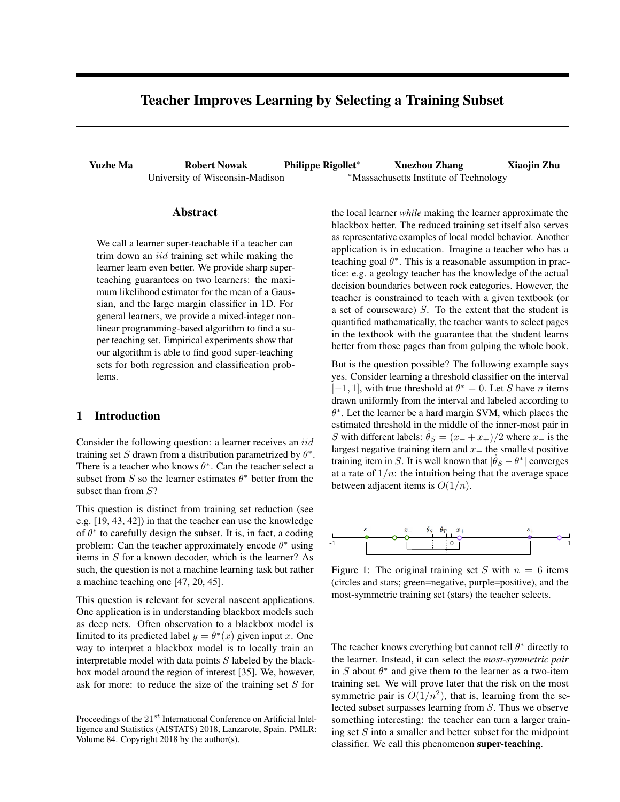# Teacher Improves Learning by Selecting a Training Subset

Yuzhe Ma Robert Nowak Philippe Rigollet<sup>\*</sup> Xuezhou Zhang Xiaojin Zhu University of Wisconsin-Madison \*\* Massachusetts Institute of Technology

### Abstract

We call a learner super-teachable if a teacher can trim down an *iid* training set while making the learner learn even better. We provide sharp superteaching guarantees on two learners: the maximum likelihood estimator for the mean of a Gaussian, and the large margin classifier in 1D. For general learners, we provide a mixed-integer nonlinear programming-based algorithm to find a super teaching set. Empirical experiments show that our algorithm is able to find good super-teaching sets for both regression and classification problems.

#### 1 Introduction

Consider the following question: a learner receives an *iid* training set *S* drawn from a distribution parametrized by  $\theta^*$ . There is a teacher who knows  $\theta^*$ . Can the teacher select a subset from *S* so the learner estimates  $\theta^*$  better from the subset than from *S*?

This question is distinct from training set reduction (see e.g. [\[19,](#page-8-0) [43,](#page-9-0) [42\]](#page-9-1)) in that the teacher can use the knowledge of  $\theta^*$  to carefully design the subset. It is, in fact, a coding problem: Can the teacher approximately encode  $\theta^*$  using items in *S* for a known decoder, which is the learner? As such, the question is not a machine learning task but rather a machine teaching one [\[47,](#page-9-2) [20,](#page-8-1) [45\]](#page-9-3).

This question is relevant for several nascent applications. One application is in understanding blackbox models such as deep nets. Often observation to a blackbox model is limited to its predicted label  $y = \theta^*(x)$  given input *x*. One way to interpret a blackbox model is to locally train an interpretable model with data points *S* labeled by the blackbox model around the region of interest [\[35\]](#page-9-4). We, however, ask for more: to reduce the size of the training set *S* for

the local learner *while* making the learner approximate the blackbox better. The reduced training set itself also serves as representative examples of local model behavior. Another application is in education. Imagine a teacher who has a teaching goal  $\theta^*$ . This is a reasonable assumption in practice: e.g. a geology teacher has the knowledge of the actual decision boundaries between rock categories. However, the teacher is constrained to teach with a given textbook (or a set of courseware) *S*. To the extent that the student is quantified mathematically, the teacher wants to select pages in the textbook with the guarantee that the student learns better from those pages than from gulping the whole book.

But is the question possible? The following example says yes. Consider learning a threshold classifier on the interval  $[-1, 1]$ , with true threshold at  $\theta^* = 0$ . Let *S* have *n* items drawn uniformly from the interval and labeled according to  $\theta^*$ . Let the learner be a hard margin SVM, which places the estimated threshold in the middle of the inner-most pair in *S* with different labels:  $\hat{\theta}_S = (x_- + x_+)/2$  where  $x_-$  is the largest negative training item and  $x_{+}$  the smallest positive training item in *S*. It is well known that  $|\theta_S - \theta^*|$  converges at a rate of  $1/n$ : the intuition being that the average space between adjacent items is *O*(1*/n*).



Figure 1: The original training set *S* with  $n = 6$  items (circles and stars; green=negative, purple=positive), and the most-symmetric training set (stars) the teacher selects.

The teacher knows everything but cannot tell  $\theta^*$  directly to the learner. Instead, it can select the *most-symmetric pair* in *S* about  $\theta^*$  and give them to the learner as a two-item training set. We will prove later that the risk on the most symmetric pair is  $O(1/n^2)$ , that is, learning from the selected subset surpasses learning from *S*. Thus we observe something interesting: the teacher can turn a larger training set *S* into a smaller and better subset for the midpoint classifier. We call this phenomenon super-teaching.

Proceedings of the 21*st* International Conference on Artificial Intelligence and Statistics (AISTATS) 2018, Lanzarote, Spain. PMLR: Volume 84. Copyright 2018 by the author(s).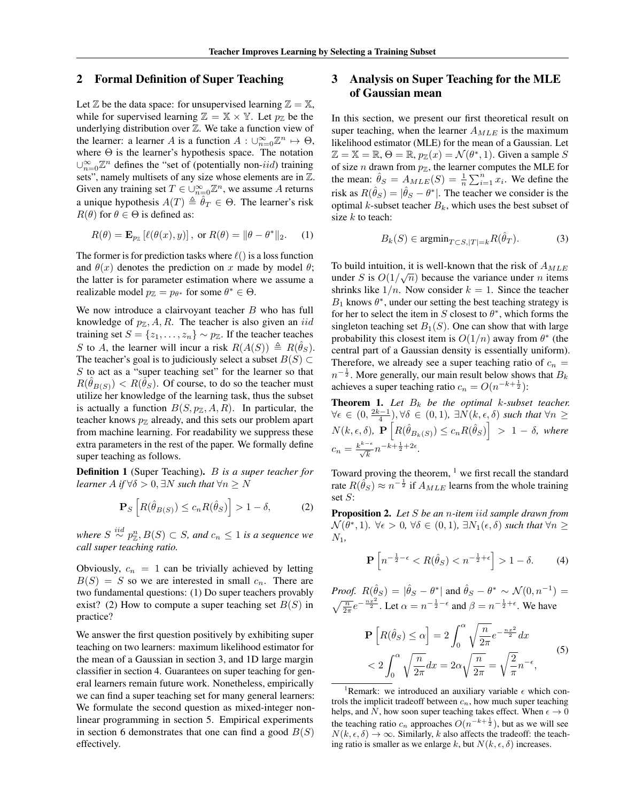#### 2 Formal Definition of Super Teaching

Let  $\mathbb Z$  be the data space: for unsupervised learning  $\mathbb Z = \mathbb X$ , while for supervised learning  $\mathbb{Z} = \mathbb{X} \times \mathbb{Y}$ . Let  $p_{\mathbb{Z}}$  be the underlying distribution over  $Z$ . We take a function view of the learner: a learner *A* is a function  $A: \bigcup_{n=0}^{\infty} \mathbb{Z}^n \mapsto \Theta$ , where  $\Theta$  is the learner's hypothesis space. The notation  $\bigcup_{n=0}^{\infty} \mathbb{Z}^n$  defines the "set of (potentially non-*iid*) training sets", namely multisets of any size whose elements are in Z. Given any training set  $T \in \bigcup_{n=0}^{\infty} \mathbb{Z}^n$ , we assume A returns a unique hypothesis  $A(T) \triangleq \hat{\theta}_T \in \Theta$ . The learner's risk  $R(\theta)$  for  $\theta \in \Theta$  is defined as:

<span id="page-1-4"></span>
$$
R(\theta) = \mathbf{E}_{p_{\mathbb{Z}}} \left[ \ell(\theta(x), y) \right], \text{ or } R(\theta) = \|\theta - \theta^*\|_2. \tag{1}
$$

The former is for prediction tasks where  $\ell()$  is a loss function and  $\theta(x)$  denotes the prediction on *x* made by model  $\theta$ ; the latter is for parameter estimation where we assume a realizable model  $p_{\mathbb{Z}} = p_{\theta^*}$  for some  $\theta^* \in \Theta$ .

We now introduce a clairvoyant teacher *B* who has full knowledge of  $p_{\mathbb{Z}}, A, R$ . The teacher is also given an *iid* training set  $S = \{z_1, \ldots, z_n\} \sim p_{\mathbb{Z}}$ . If the teacher teaches *S* to *A*, the learner will incur a risk  $R(A(S)) \triangleq R(\hat{\theta}_S)$ . The teacher's goal is to judiciously select a subset  $B(S) \subset$ *S* to act as a "super teaching set" for the learner so that  $R(\theta_{B(S)}) < R(\theta_S)$ . Of course, to do so the teacher must utilize her knowledge of the learning task, thus the subset is actually a function  $B(S, p_{\mathbb{Z}}, A, R)$ . In particular, the teacher knows  $p_{\mathbb{Z}}$  already, and this sets our problem apart from machine learning. For readability we suppress these extra parameters in the rest of the paper. We formally define super teaching as follows.

Definition 1 (Super Teaching). *B is a super teacher for learner*  $A$  *if*  $\forall \delta > 0$ ,  $\exists N$  *such that*  $\forall n \geq N$ 

$$
\mathbf{P}_S \left[ R(\hat{\theta}_{B(S)}) \le c_n R(\hat{\theta}_S) \right] > 1 - \delta, \tag{2}
$$

*where*  $S \stackrel{iid}{\sim} p_{\mathbb{Z}}^n, B(S) \subset S$ , and  $c_n \leq 1$  is a sequence we *call super teaching ratio.*

Obviously,  $c_n = 1$  can be trivially achieved by letting  $B(S) = S$  so we are interested in small  $c_n$ . There are two fundamental questions: (1) Do super teachers provably exist? (2) How to compute a super teaching set *B*(*S*) in practice?

We answer the first question positively by exhibiting super teaching on two learners: maximum likelihood estimator for the mean of a Gaussian in section [3,](#page-1-0) and 1D large margin classifier in section [4.](#page-3-0) Guarantees on super teaching for general learners remain future work. Nonetheless, empirically we can find a super teaching set for many general learners: We formulate the second question as mixed-integer nonlinear programming in section [5.](#page-5-0) Empirical experiments in section [6](#page-5-1) demonstrates that one can find a good  $B(S)$ effectively.

# <span id="page-1-0"></span>3 Analysis on Super Teaching for the MLE of Gaussian mean

In this section, we present our first theoretical result on super teaching, when the learner *AMLE* is the maximum likelihood estimator (MLE) for the mean of a Gaussian. Let  $\mathbb{Z} = \mathbb{X} = \mathbb{R}, \Theta = \mathbb{R}, p_{\mathbb{Z}}(x) = \mathcal{N}(\theta^*, 1)$ . Given a sample S of size *n* drawn from  $p_{\mathbb{Z}}$ , the learner computes the MLE for the mean:  $\hat{\theta}_S = A_{MLE}(S) = \frac{1}{n} \sum_{i=1}^n x_i$ . We define the risk as  $R(\hat{\theta}_S) = |\hat{\theta}_S - \theta^*|$ . The teacher we consider is the optimal *k*-subset teacher  $B_k$ , which uses the best subset of size *k* to teach:

$$
B_k(S) \in \operatorname{argmin}_{T \subset S, |T| = k} R(\hat{\theta}_T). \tag{3}
$$

To build intuition, it is well-known that the risk of *AMLE* under *S* is  $O(1/\sqrt{n})$  because the variance under *n* items shrinks like  $1/n$ . Now consider  $k = 1$ . Since the teacher  $B_1$  knows  $\theta^*$ , under our setting the best teaching strategy is for her to select the item in  $S$  closest to  $\theta^*$ , which forms the singleton teaching set  $B_1(S)$ . One can show that with large probability this closest item is  $O(1/n)$  away from  $\theta^*$  (the central part of a Gaussian density is essentially uniform). Therefore, we already see a super teaching ratio of  $c_n =$  $n^{-\frac{1}{2}}$ . More generally, our main result below shows that  $B_k$ achieves a super teaching ratio  $c_n = O(n^{-k + \frac{1}{2}})$ :

<span id="page-1-3"></span>**Theorem 1.** Let  $B_k$  be the optimal *k*-subset teacher.  $\forall \epsilon \in (0, \frac{2k-1}{4})$ ,  $\forall \delta \in (0,1)$ ,  $\exists N(k, \epsilon, \delta)$  such that  $\forall n \geq 1$  $N(k, \epsilon, \delta)$ ,  $\mathbf{P}\left[R(\hat{\theta}_{B_k(S)}) \leq c_n R(\hat{\theta}_S)\right] > 1 - \delta$ , where  $c_n = \frac{k^{k-\epsilon}}{\sqrt{k}} n^{-k + \frac{1}{2} + 2\epsilon}.$ 

Toward proving the theorem,  $1$  we first recall the standard rate  $R(\hat{\theta}_S) \approx n^{-\frac{1}{2}}$  if  $A_{MLE}$  learns from the whole training set *S*:

<span id="page-1-2"></span>Proposition 2. *Let S be an n-item iid sample drawn from*  $\mathcal{N}(\theta^*, 1)$ *.*  $\forall \epsilon > 0$ *,*  $\forall \delta \in (0, 1)$ *,*  $\exists N_1(\epsilon, \delta)$  *such that*  $\forall n \geq$ *N*1*,*

$$
\mathbf{P}\left[n^{-\frac{1}{2}-\epsilon} < R(\hat{\theta}_S) < n^{-\frac{1}{2}+\epsilon}\right] > 1 - \delta. \tag{4}
$$

*Proof.*  $R(\hat{\theta}_S) = |\hat{\theta}_S - \theta^*|$  and  $\hat{\theta}_S - \theta^* \sim \mathcal{N}(0, n^{-1}) =$  $\sqrt{\frac{n}{2\pi}}e^{-\frac{n x^2}{2}}$ . Let  $\alpha = n^{-\frac{1}{2}-\epsilon}$  and  $\beta = n^{-\frac{1}{2}+\epsilon}$ . We have

$$
\mathbf{P}\left[R(\hat{\theta}_S) \le \alpha\right] = 2\int_0^{\alpha} \sqrt{\frac{n}{2\pi}} e^{-\frac{nx^2}{2}} dx
$$
  
< 
$$
< 2\int_0^{\alpha} \sqrt{\frac{n}{2\pi}} dx = 2\alpha \sqrt{\frac{n}{2\pi}} = \sqrt{\frac{2}{\pi}} n^{-\epsilon},
$$
 (5)

<span id="page-1-1"></span><sup>1</sup>Remark: we introduced an auxiliary variable  $\epsilon$  which controls the implicit tradeoff between *cn*, how much super teaching helps, and  $\overline{N}$ , how soon super teaching takes effect. When  $\epsilon \to 0$ the teaching ratio  $c_n$  approaches  $O(n^{-k+\frac{1}{2}})$ , but as we will see  $N(k, \epsilon, \delta) \rightarrow \infty$ . Similarly, *k* also affects the tradeoff: the teaching ratio is smaller as we enlarge *k*, but  $N(k, \epsilon, \delta)$  increases.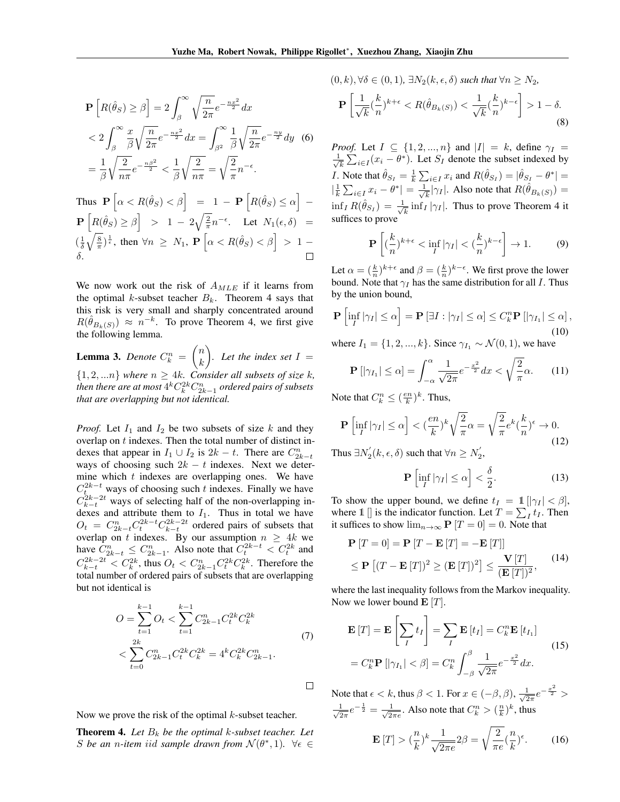$$
\mathbf{P}\left[R(\hat{\theta}_S) \ge \beta\right] = 2\int_{\beta}^{\infty} \sqrt{\frac{n}{2\pi}} e^{-\frac{n x^2}{2}} dx
$$
  

$$
< 2\int_{\beta}^{\infty} \frac{x}{\beta} \sqrt{\frac{n}{2\pi}} e^{-\frac{n x^2}{2}} dx = \int_{\beta^2}^{\infty} \frac{1}{\beta} \sqrt{\frac{n}{2\pi}} e^{-\frac{n y}{2}} dy \quad (6)
$$

$$
= \frac{1}{\beta} \sqrt{\frac{2}{n \pi}} e^{-\frac{n \beta^2}{2}} < \frac{1}{\beta} \sqrt{\frac{2}{n \pi}} = \sqrt{\frac{2}{\pi}} n^{-\epsilon}.
$$

Thus 
$$
\mathbf{P} \left[ \alpha < R(\hat{\theta}_S) < \beta \right] = 1 - \mathbf{P} \left[ R(\hat{\theta}_S) \leq \alpha \right] -
$$
  
\n $\mathbf{P} \left[ R(\hat{\theta}_S) \geq \beta \right] > 1 - 2\sqrt{\frac{2}{\pi}} n^{-\epsilon}.$  Let  $N_1(\epsilon, \delta) =$   
\n $\left( \frac{1}{\delta} \sqrt{\frac{8}{\pi}} \right)^{\frac{1}{\epsilon}}$ , then  $\forall n \geq N_1$ ,  $\mathbf{P} \left[ \alpha < R(\hat{\theta}_S) < \beta \right] > 1 -$   
\n $\delta.$ 

We now work out the risk of *AMLE* if it learns from the optimal *k*-subset teacher  $B_k$ . Theorem [4](#page-2-0) says that this risk is very small and sharply concentrated around  $R(\hat{\theta}_{B_k(S)}) \approx n^{-k}$ . To prove Theorem [4,](#page-2-0) we first give the following lemma.

<span id="page-2-1"></span>**Lemma 3.** *Denote*  $C_k^n$  =  $\left( n \right)$ *k* ◆ *. Let the index set*  $I =$  ${1, 2, ...n}$  *where*  $n \geq 4k$ *. Consider all subsets of size k*, *then there are at most*  $4^k C_k^{2k} C_{2k-1}^n$  *ordered pairs of subsets that are overlapping but not identical.*

*Proof.* Let  $I_1$  and  $I_2$  be two subsets of size  $k$  and they overlap on *t* indexes. Then the total number of distinct indexes that appear in  $I_1 \cup I_2$  is  $2k - t$ . There are  $C_{2k-t}^n$ ways of choosing such  $2k - t$  indexes. Next we determine which *t* indexes are overlapping ones. We have  $C_{t}^{2k-t}$  ways of choosing such *t* indexes. Finally we have  $C_{k-t}^{2k-2t}$  ways of selecting half of the non-overlapping indexes and attribute them to  $I_1$ . Thus in total we have  $O_t = C_{2k-t}^n C_t^{2k-t} C_{k-t}^{2k-2t}$  ordered pairs of subsets that overlap on *t* indexes. By our assumption  $n \geq 4k$  we have  $C_{2k-t}^n \leq C_{2k-1}^n$ . Also note that  $C_t^{2k-t} < C_t^{2k}$  and  $C_{k-t}^{2k-2t} < C_k^{2k}$ , thus  $O_t < C_{2k-1}^n C_t^{2k} C_k^{2k}$ . Therefore the total number of ordered pairs of subsets that are overlapping but not identical is

$$
O = \sum_{t=1}^{k-1} O_t < \sum_{t=1}^{k-1} C_{2k-1}^n C_t^{2k} C_k^{2k}
$$
  
< 
$$
< \sum_{t=0}^{2k} C_{2k-1}^n C_t^{2k} C_k^{2k} = 4^k C_k^{2k} C_{2k-1}^n.
$$
 (7)

Now we prove the risk of the optimal *k*-subset teacher.

<span id="page-2-0"></span>**Theorem 4.** Let  $B_k$  be the optimal  $k$ -subset teacher. Let *S* be an *n*-item iid sample drawn from  $\mathcal{N}(\theta^*, 1)$ .  $\forall \epsilon \in$ 

$$
(0, k), \forall \delta \in (0, 1), \exists N_2(k, \epsilon, \delta) \text{ such that } \forall n \ge N_2,
$$

$$
\mathbf{P}\left[\frac{1}{\sqrt{k}}(\frac{k}{n})^{k+\epsilon} < R(\hat{\theta}_{B_k(S)}) < \frac{1}{\sqrt{k}}(\frac{k}{n})^{k-\epsilon}\right] > 1 - \delta. \tag{8}
$$

*Proof.* Let  $I \subseteq \{1, 2, ..., n\}$  and  $|I| = k$ , define  $\gamma_I =$  $\frac{1}{\sqrt{2}}$  $\frac{1}{k} \sum_{i \in I} (x_i - \theta^*)$ . Let *S<sub>I</sub>* denote the subset indexed by *I*. Note that  $\hat{\theta}_{S_I} = \frac{1}{k} \sum_{i \in I} x_i$  and  $R(\hat{\theta}_{S_I}) = |\hat{\theta}_{S_I} - \theta^*| =$  $|\frac{1}{k}\sum_{i\in I}x_i - \theta^*| = \frac{1}{\sqrt{k}}|\gamma_I|$ . Also note that  $R(\hat{\theta}_{B_k(S)}) =$  $\inf_{I} R(\hat{\theta}_{S_I}) = \frac{1}{\sqrt{k}} \inf_{I} |\gamma_I|$ . Thus to prove Theorem [4](#page-2-0) it suffices to prove

$$
\mathbf{P}\left[ (\frac{k}{n})^{k+\epsilon} < \inf_{I} |\gamma_I| < (\frac{k}{n})^{k-\epsilon} \right] \to 1. \tag{9}
$$

Let  $\alpha = (\frac{k}{n})^{k+\epsilon}$  and  $\beta = (\frac{k}{n})^{k-\epsilon}$ . We first prove the lower bound. Note that  $\gamma_I$  has the same distribution for all *I*. Thus by the union bound,

$$
\mathbf{P}\left[\inf_{I}|\gamma_{I}| \leq \alpha\right] = \mathbf{P}\left[\exists I : |\gamma_{I}| \leq \alpha\right] \leq C_{k}^{n} \mathbf{P}\left[|\gamma_{I_{1}}| \leq \alpha\right],\tag{10}
$$

where  $I_1 = \{1, 2, ..., k\}$ . Since  $\gamma_{I_1} \sim \mathcal{N}(0, 1)$ , we have

$$
\mathbf{P}\left[|\gamma_{I_1}| \leq \alpha\right] = \int_{-\alpha}^{\alpha} \frac{1}{\sqrt{2\pi}} e^{-\frac{x^2}{2}} dx < \sqrt{\frac{2}{\pi}} \alpha. \tag{11}
$$

Note that  $C_k^n \leq (\frac{en}{k})^k$ . Thus,

$$
\mathbf{P}\left[\inf_{I}|\gamma_{I}| \leq \alpha\right] < \left(\frac{en}{k}\right)^{k} \sqrt{\frac{2}{\pi}} \alpha = \sqrt{\frac{2}{\pi}} e^{k} \left(\frac{k}{n}\right)^{\epsilon} \to 0. \tag{12}
$$

Thus  $\exists N'_2(k, \epsilon, \delta)$  such that  $\forall n \ge N'_2$ ,

<span id="page-2-4"></span><span id="page-2-3"></span>
$$
\mathbf{P}\left[\inf_{I}|\gamma_{I}| \leq \alpha\right] < \frac{\delta}{2}.\tag{13}
$$

To show the upper bound, we define  $t_I = 1/|\gamma_I| < \beta$ , where 1 [] is the indicator function. Let  $T = \sum_I t_I$ . Then it suffices to show  $\lim_{n\to\infty}$  **P**  $[T = 0] = 0$ . Note that

$$
\mathbf{P}[T=0] = \mathbf{P}[T - \mathbf{E}[T] = -\mathbf{E}[T]]
$$
  
\n
$$
\leq \mathbf{P}[(T - \mathbf{E}[T])^{2} \geq (\mathbf{E}[T])^{2}] \leq \frac{\mathbf{V}[T]}{(\mathbf{E}[T])^{2}},
$$
\n(14)

where the last inequality follows from the Markov inequality. Now we lower bound E [*T*].

$$
\mathbf{E}[T] = \mathbf{E}\left[\sum_{I} t_{I}\right] = \sum_{I} \mathbf{E}[t_{I}] = C_{k}^{n} \mathbf{E}[t_{I_{1}}]
$$
\n
$$
= C_{k}^{n} \mathbf{P}[|\gamma_{I_{1}}| < \beta] = C_{k}^{n} \int_{-\beta}^{\beta} \frac{1}{\sqrt{2\pi}} e^{-\frac{x^{2}}{2}} dx.
$$
\n(15)

Note that  $\epsilon < k$ , thus  $\beta < 1$ . For  $x \in (-\beta, \beta)$ ,  $\frac{1}{\sqrt{2\pi}}e^{-\frac{x^2}{2}} >$  $\frac{1}{\sqrt{2\pi}}e^{-\frac{1}{2}} = \frac{1}{\sqrt{2\pi e}}$ . Also note that  $C_k^n > (\frac{n}{k})^k$ , thus

<span id="page-2-2"></span>
$$
\mathbf{E}\left[T\right] > \left(\frac{n}{k}\right)^k \frac{1}{\sqrt{2\pi e}} 2\beta = \sqrt{\frac{2}{\pi e}} \left(\frac{n}{k}\right)^{\epsilon}.\tag{16}
$$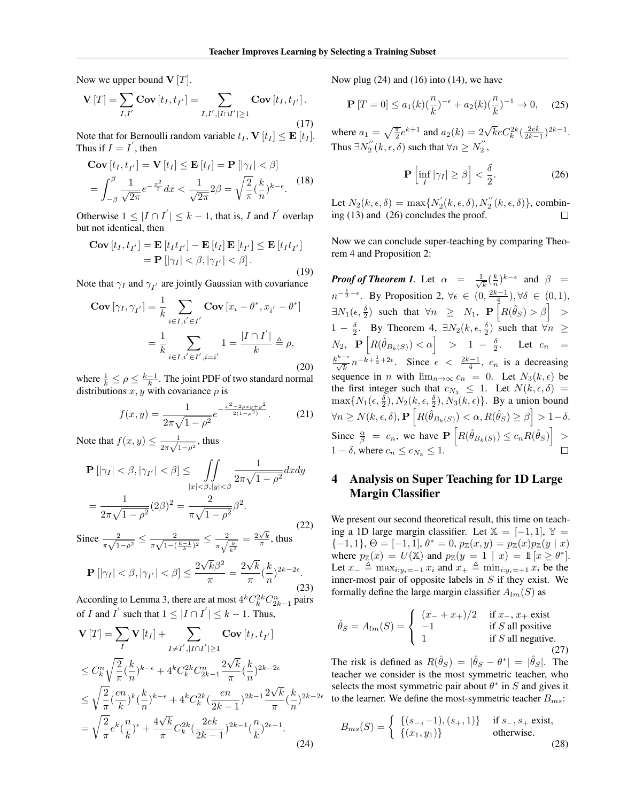Now we upper bound  $V[T]$ .

$$
\mathbf{V}[T] = \sum_{I,I'} \mathbf{Cov}[t_I, t_{I'}] = \sum_{I,I',|I \cap I'| \ge 1} \mathbf{Cov}[t_I, t_{I'}].
$$
\n(17)

Note that for Bernoulli random variable  $t_I$ ,  $\mathbf{V}[t_I] \leq \mathbf{E}[t_I]$ .<br>Thus if  $I = I'$  then Thus if  $I = I$ <sup>'</sup>, then

$$
\mathbf{Cov}[t_I, t_{I'}] = \mathbf{V}[t_I] \le \mathbf{E}[t_I] = \mathbf{P}[|\gamma_I| < \beta]
$$

$$
= \int_{-\beta}^{\beta} \frac{1}{\sqrt{2\pi}} e^{-\frac{x^2}{2}} dx < \frac{1}{\sqrt{2\pi}} 2\beta = \sqrt{\frac{2}{\pi}} (\frac{k}{n})^{k-\epsilon}.
$$
(18)

Otherwise  $1 \leq |I \cap I'| \leq k - 1$ , that is, *I* and *I*<sup>'</sup> overlap but not identical, then

$$
\mathbf{Cov}[t_I, t_{I'}] = \mathbf{E}[t_I t_{I'}] - \mathbf{E}[t_I] \mathbf{E}[t_{I'}] \le \mathbf{E}[t_I t_{I'}]
$$
  
= 
$$
\mathbf{P}[|\gamma_I| < \beta, |\gamma_{I'}| < \beta].
$$
 (19)

Note that  $\gamma_I$  and  $\gamma_{I'}$  are jointly Gaussian with covariance

$$
\mathbf{Cov}\left[\gamma_{I}, \gamma_{I'}\right] = \frac{1}{k} \sum_{i \in I, i' \in I'} \mathbf{Cov}\left[x_{i} - \theta^{*}, x_{i'} - \theta^{*}\right]
$$

$$
= \frac{1}{k} \sum_{i \in I, i' \in I', i = i'} 1 = \frac{|I \cap I'|}{k} \triangleq \rho,
$$
(20)

where  $\frac{1}{k} \leq \rho \leq \frac{k-1}{k}$ . The joint PDF of two standard normal distributions  $x, y$  with covariance  $\rho$  is

$$
f(x,y) = \frac{1}{2\pi\sqrt{1-\rho^2}}e^{-\frac{x^2-2\rho xy + y^2}{2(1-\rho^2)}}.
$$
 (21)

Note that  $f(x, y) \le \frac{1}{2\pi\sqrt{1-\rho^2}}$ , thus

$$
\mathbf{P}\left[|\gamma_I| < \beta, |\gamma_{I'}| < \beta\right] \leq \iint\limits_{|x| < \beta, |y| < \beta} \frac{1}{2\pi\sqrt{1-\rho^2}} dx dy
$$
\n
$$
= \frac{1}{2\pi\sqrt{1-\rho^2}} (2\beta)^2 = \frac{2}{\pi\sqrt{1-\rho^2}} \beta^2.
$$
\n(22)

Since  $\frac{2}{\pi\sqrt{1-\rho^2}} \leq \frac{2}{\pi\sqrt{1-(\frac{k-1}{k})^2}} \leq \frac{2}{\pi\sqrt{\frac{k}{k^2}}}$  $= \frac{2\sqrt{k}}{\pi}$ , thus

$$
\mathbf{P}\left[|\gamma_I| < \beta, |\gamma_{I'}| < \beta\right] \le \frac{2\sqrt{k}\beta^2}{\pi} = \frac{2\sqrt{k}}{\pi} \left(\frac{k}{n}\right)^{2k - 2\epsilon}.\tag{23}
$$

According to Lemma [3,](#page-2-1) there are at most  $4^{k}C_{k}^{2k}C_{2k-1}^{n}$  pairs of *I* and *I*<sup> $\prime$ </sup> such that  $1 \leq |I \cap I'| \leq k - 1$ . Thus,

$$
\mathbf{V}[T] = \sum_{I} \mathbf{V}[t_{I}] + \sum_{I \neq I', |I \cap I'| \ge 1} \mathbf{Cov}[t_{I}, t_{I'}]
$$
  
\n
$$
\le C_{k}^{n} \sqrt{\frac{2}{\pi}} (\frac{k}{n})^{k-\epsilon} + 4^{k} C_{k}^{2k} C_{2k-1}^{n} \frac{2\sqrt{k}}{\pi} (\frac{k}{n})^{2k-2\epsilon}
$$
  
\n
$$
\le \sqrt{\frac{2}{\pi}} (\frac{en}{k})^{k} (\frac{k}{n})^{k-\epsilon} + 4^{k} C_{k}^{2k} (\frac{en}{2k-1})^{2k-1} \frac{2\sqrt{k}}{\pi} (\frac{k}{n})^{2k-1}
$$
  
\n
$$
= \sqrt{\frac{2}{\pi}} e^{k} (\frac{n}{k})^{\epsilon} + \frac{4\sqrt{k}}{\pi} C_{k}^{2k} (\frac{2ek}{2k-1})^{2k-1} (\frac{n}{k})^{2\epsilon-1}.
$$
\n(24)

Now plug  $(24)$  and  $(16)$  into  $(14)$ , we have

$$
\mathbf{P}\left[T=0\right] \le a_1(k)\left(\frac{n}{k}\right)^{-\epsilon} + a_2(k)\left(\frac{n}{k}\right)^{-1} \to 0,\tag{25}
$$

where  $a_1 = \sqrt{\frac{\pi}{2}}e^{k+1}$  and  $a_2(k) = 2\sqrt{k}eC_k^{2k}(\frac{2ek}{2k-1})^{2k-1}$ . Thus  $\exists N_2''(k, \epsilon, \delta)$  such that  $\forall n \ge N_2''$ ,

<span id="page-3-2"></span>
$$
\mathbf{P}\left[\inf_{I}|\gamma_{I}| \geq \beta\right] < \frac{\delta}{2}.\tag{26}
$$

Let  $N_2(k, \epsilon, \delta) = \max\{N'_2(k, \epsilon, \delta), N''_2(k, \epsilon, \delta)\}\)$ , combining [\(13\)](#page-2-4) and [\(26\)](#page-3-2) concludes the proof.

Now we can conclude super-teaching by comparing Theorem [4](#page-2-0) and Proposition [2:](#page-1-2)

*Proof of Theorem [1](#page-1-3).* Let  $\alpha = \frac{1}{\sqrt{k}} (\frac{k}{n})^{k-\epsilon}$  and  $\beta =$  $n^{-\frac{1}{2}-\epsilon}$ . By Proposition [2,](#page-1-2)  $\forall \epsilon \in (0, \frac{2k-1}{4}), \forall \delta \in (0,1)$ ,  $\exists N_1(\epsilon, \frac{\delta}{2})$  such that  $\forall n \geq N_1$ ,  $\mathbf{P}\left[R(\hat{\theta}_S) > \beta\right] >$  $1 - \frac{\delta}{2}$ . By Theorem [4,](#page-2-0)  $\exists N_2(k, \epsilon, \frac{\delta}{2})$  such that  $\forall n \geq$  $N_2$ ,  $\mathbf{P} \begin{bmatrix} R(\hat{\theta}_{B_k(S)}) < \alpha \end{bmatrix} > 1 - \frac{\delta}{2}$ . Let  $c_n =$  $\frac{k^{k-\epsilon}}{\sqrt{k}} n^{-k+\frac{1}{2}+2\epsilon}$ . Since  $\epsilon < \frac{2k-1}{4}$ ,  $c_n$  is a decreasing sequence in *n* with  $\lim_{n\to\infty} c_n = 0$ . Let  $N_3(k, \epsilon)$  be the first integer such that  $c_{N_3} \leq 1$ . Let  $N(k, \epsilon, \delta)$  $\max\{N_1(\epsilon, \frac{\delta}{2}), N_2(k, \epsilon, \frac{\delta}{2}), N_3(k, \epsilon)\}\$ . By a union bound  $\forall n \ge N(k, \epsilon, \delta), \mathbf{P}\left[R(\hat{\theta}_{B_k(S)}) < \alpha, R(\hat{\theta}_S) \ge \beta\right] > 1-\delta.$ Since  $\frac{\alpha}{\beta} = c_n$ , we have  $\mathbf{P}\left[R(\hat{\theta}_{B_k(S)}) \leq c_n R(\hat{\theta}_S)\right] >$  $1 - \delta$ , where  $c_n \leq c_{N_3} \leq 1$ .

# <span id="page-3-0"></span>4 Analysis on Super Teaching for 1D Large Margin Classifier

We present our second theoretical result, this time on teaching a 1D large margin classifier. Let  $X = [-1, 1], Y =$  $\{-1, 1\}, \Theta = [-1, 1], \theta^* = 0, p_{\mathbb{Z}}(x, y) = p_{\mathbb{Z}}(x)p_{\mathbb{Z}}(y | x)$ where  $p_{\mathbb{Z}}(x) = U(\mathbb{X})$  and  $p_{\mathbb{Z}}(y = 1 | x) = 1 | x \geq \theta^*$ . Let  $x_{-} \triangleq \max_{i:y_i=-1} x_i$  and  $x_{+} \triangleq \min_{i:y_i=+1} x_i$  be the inner-most pair of opposite labels in *S* if they exist. We formally define the large margin classifier  $A_{lm}(S)$  as

$$
\hat{\theta}_S = A_{lm}(S) = \begin{cases}\n(x_- + x_+)/2 & \text{if } x_-, x_+ \text{ exist} \\
-1 & \text{if } S \text{ all positive} \\
1 & \text{if } S \text{ all negative.} \\
\end{cases}
$$
\n(27)

<span id="page-3-1"></span> $2k-2\epsilon$  to the learner. We define the most-symmetric teacher  $B_{ms}$ : The risk is defined as  $R(\hat{\theta}_S) = |\hat{\theta}_S - \theta^*| = |\hat{\theta}_S|$ . The teacher we consider is the most symmetric teacher, who selects the most symmetric pair about  $\theta^*$  in *S* and gives it

$$
B_{ms}(S) = \begin{cases} \{(s_-, -1), (s_+, 1)\} & \text{if } s_-, s_+ \text{ exist,} \\ \{(x_1, y_1)\} & \text{otherwise.} \end{cases}
$$
(28)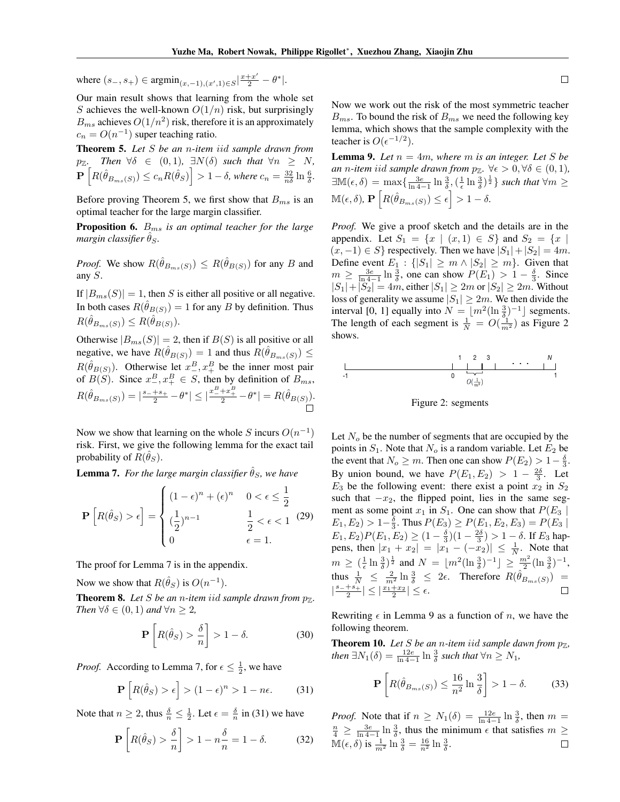where  $(s_-, s_+) \in \text{argmin}_{(x,-1),(x',1)\in S} |\frac{x+x'}{2} - \theta^*|$ .

Our main result shows that learning from the whole set *S* achieves the well-known  $O(1/n)$  risk, but surprisingly  $B_{ms}$  achieves  $O(1/n^2)$  risk, therefore it is an approximately  $c_n = O(n^{-1})$  super teaching ratio.

<span id="page-4-0"></span>Theorem 5. *Let S be an n-item iid sample drawn from*  $p_{\mathbb{Z}}$ *.* Then  $\forall \delta \in (0,1)$ ,  $\exists N(\delta)$  such that  $\forall n \geq N$ ,  $\mathbf{P}\left[R(\hat{\theta}_{B_{ms}(S)}) \leq c_n R(\hat{\theta}_S)\right] > 1 - \delta$ , where  $c_n = \frac{32}{n\delta} \ln \frac{6}{\delta}$ .

Before proving Theorem [5,](#page-4-0) we first show that *Bms* is an optimal teacher for the large margin classifier.

Proposition 6. *Bms is an optimal teacher for the large margin classifier*  $\theta_S$ *.* 

*Proof.* We show  $R(\hat{\theta}_{B_{ms}(S)}) \leq R(\hat{\theta}_{B(S)})$  for any *B* and any *S*.

If  $|B_{ms}(S)| = 1$ , then *S* is either all positive or all negative. In both cases  $R(\hat{\theta}_{B(S)})=1$  for any *B* by definition. Thus  $R(\hat{\theta}_{B_m,s}(S)) \leq R(\hat{\theta}_{B(S)})$ .

Otherwise  $|B_{ms}(S)| = 2$ , then if  $B(S)$  is all positive or all negative, we have  $R(\hat{\theta}_{B(S)})=1$  and thus  $R(\hat{\theta}_{B_m,s(S)}) \leq$  $R(\hat{\theta}_{B(S)})$ . Otherwise let  $x^B$ ,  $x^B$  be the inner most pair of *B*(*S*). Since  $x_+^B, x_+^B \in S$ , then by definition of  $B_{ms}$ ,  $R(\hat{\theta}_{B_{ms}(S)}) = |\frac{s_- + s_+}{2} - \theta^*| \leq |\frac{x_-^B + x_+^B}{2} - \theta^*| = R(\hat{\theta}_{B(S)}).$ 

Now we show that learning on the whole *S* incurs  $O(n^{-1})$ risk. First, we give the following lemma for the exact tail probability of  $R(\hat{\theta}_S)$ .

<span id="page-4-1"></span>**Lemma 7.** For the large margin classifier  $\hat{\theta}_S$ , we have

$$
\mathbf{P}\left[R(\hat{\theta}_S) > \epsilon\right] = \begin{cases} (1-\epsilon)^n + (\epsilon)^n & 0 < \epsilon \le \frac{1}{2} \\ \left(\frac{1}{2}\right)^{n-1} & \frac{1}{2} < \epsilon < 1 \end{cases} \tag{29}
$$
\n
$$
\epsilon = 1.
$$

The proof for Lemma [7](#page-4-1) is in the appendix.

Now we show that  $R(\hat{\theta}_S)$  is  $O(n^{-1})$ .

<span id="page-4-6"></span>**Theorem 8.** Let *S* be an *n*-item iid sample drawn from  $p_{\mathbb{Z}}$ . *Then*  $\forall \delta \in (0, 1)$  *and*  $\forall n \geq 2$ ,

$$
\mathbf{P}\left[R(\hat{\theta}_S) > \frac{\delta}{n}\right] > 1 - \delta. \tag{30}
$$

*Proof.* According to Lemma [7,](#page-4-1) for  $\epsilon \leq \frac{1}{2}$ , we have

$$
\mathbf{P}\left[R(\hat{\theta}_S) > \epsilon\right] > (1 - \epsilon)^n > 1 - n\epsilon. \tag{31}
$$

Note that  $n \ge 2$ , thus  $\frac{\delta}{n} \le \frac{1}{2}$ . Let  $\epsilon = \frac{\delta}{n}$  in [\(31\)](#page-4-2) we have

$$
\mathbf{P}\left[R(\hat{\theta}_S) > \frac{\delta}{n}\right] > 1 - n\frac{\delta}{n} = 1 - \delta. \tag{32}
$$

Now we work out the risk of the most symmetric teacher  $B_{ms}$ . To bound the risk of  $B_{ms}$  we need the following key lemma, which shows that the sample complexity with the teacher is  $O(\epsilon^{-1/2})$ .

<span id="page-4-4"></span>**Lemma 9.** Let  $n = 4m$ , where  $m$  is an integer. Let  $S$  be *an n*-item iid sample drawn from  $p_{\mathbb{Z}}$ .  $\forall \epsilon > 0, \forall \delta \in (0, 1)$ *,*  $\exists M(\epsilon,\delta) = \max\{\frac{3\epsilon}{\ln 4-1} \ln \frac{3}{\delta}, (\frac{1}{\epsilon} \ln \frac{3}{\delta})^{\frac{1}{2}}\}$  *such that*  $\forall m \geq$  $\mathbb{M}(\epsilon, \delta), \mathbf{P}\left[R(\hat{\theta}_{B_{ms}(S)}) \leq \epsilon\right] > 1 - \delta.$ 

*Proof.* We give a proof sketch and the details are in the appendix. Let  $S_1 = \{x \mid (x,1) \in S\}$  and  $S_2 = \{x \mid (x,1) \in S\}$  $(x, -1) \in S$ } respectively. Then we have  $|S_1| + |S_2| = 4m$ . Define event  $E_1$ :  $\{|S_1| \ge m \wedge |S_2| \ge m\}$ . Given that  $m \ge \frac{3e}{\ln 4} \ln \frac{3}{\delta}$ , one can show  $P(E_1) > 1 - \frac{\delta}{3}$ . Since  $|S_1| + |S_2| = 4m$ , either  $|S_1| \ge 2m$  or  $|S_2| \ge 2m$ . Without loss of generality we assume  $|S_1| \geq 2m$ . We then divide the interval [0, 1] equally into  $N = \lfloor m^2(\ln \frac{3}{\delta})^{-1} \rfloor$  segments. The length of each segment is  $\frac{1}{N} = O(\frac{1}{m^2})$  as Figure [2](#page-4-3) shows.

<span id="page-4-3"></span>

Figure 2: segments

Let  $N<sub>o</sub>$  be the number of segments that are occupied by the points in  $S_1$ . Note that  $N_o$  is a random variable. Let  $E_2$  be the event that  $N_o \ge m$ . Then one can show  $P(E_2) > 1 - \frac{\delta}{3}$ . By union bound, we have  $P(E_1, E_2) > 1 - \frac{2\delta}{3}$ . Let  $E_3$  be the following event: there exist a point  $x_2$  in  $S_2$ such that  $-x_2$ , the flipped point, lies in the same segment as some point  $x_1$  in  $S_1$ . One can show that  $P(E_3 |$  $E_1, E_2$ ) > 1- $\frac{\delta}{3}$ . Thus  $P(E_3) \ge P(E_1, E_2, E_3) = P(E_3)$  $E_1, E_2$ ) $P(E_1, E_2) \geq (1 - \frac{\delta}{3})(1 - \frac{2\delta}{3}) > 1 - \delta$ . If  $E_3$  happens, then  $|x_1 + x_2| = |x_1 - (-x_2)| \leq \frac{1}{N}$ . Note that  $m \ge (\frac{1}{\epsilon} \ln \frac{3}{\delta})^{\frac{1}{2}}$  and  $N = \lfloor m^2(\ln \frac{3}{\delta})^{-1} \rfloor \ge \frac{m^2}{2}(\ln \frac{3}{\delta})^{-1}$ , thus  $\frac{1}{N} \leq \frac{2}{m^2} \ln \frac{3}{\delta} \leq 2\epsilon$ . Therefore  $R(\hat{\theta}_{B_{ms}(S)})$  =  $\left|\frac{s_-+s_+}{2}\right| \leq \left|\frac{x_1+x_2}{2}\right| \leq \epsilon.$ 

Rewriting  $\epsilon$  in Lemma [9](#page-4-4) as a function of *n*, we have the following theorem.

<span id="page-4-5"></span><span id="page-4-2"></span>**Theorem 10.** Let  $S$  be an *n*-item iid sample dawn from  $p_{\mathbb{Z}}$ , *then*  $\exists N_1(\delta) = \frac{12e}{\ln 4 - 1} \ln \frac{3}{\delta}$  such that  $\forall n \geq N_1$ ,

$$
\mathbf{P}\left[R(\hat{\theta}_{B_{ms}(S)}) \le \frac{16}{n^2} \ln \frac{3}{\delta}\right] > 1 - \delta. \tag{33}
$$

*Proof.* Note that if  $n \geq N_1(\delta) = \frac{12e}{\ln 4} \ln \frac{3}{\delta}$ , then  $m = \frac{n}{\delta} > \frac{3e}{\delta}$  in  $\frac{3}{2}$  thus the minimum  $\epsilon$  that satisfies  $m >$  $\frac{m}{4} \geq \frac{3e}{\ln 4 - 1} \ln \frac{3}{\delta}$ , thus the minimum  $\epsilon$  that satisfies  $m \geq$  $\mathbb{M}(\epsilon,\delta)$  is  $\frac{1}{m^2}\ln\frac{3}{\delta}=\frac{16}{n^2}\ln\frac{3}{\delta}$ .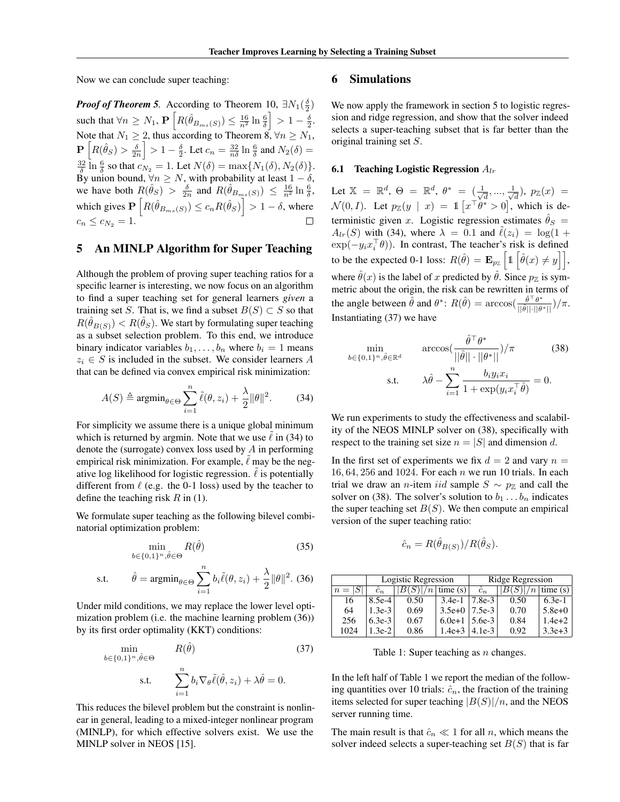Now we can conclude super teaching:

*Proof of Theorem [5](#page-4-0).* According to Theorem  $10, \exists N_1(\frac{\delta}{2})$ such that  $\forall n \geq N_1$ ,  $\mathbf{P}\left[R(\hat{\theta}_{B_{ms}(S)}) \leq \frac{16}{n^2} \ln \frac{6}{\delta}\right]$  $\Big] > 1 - \frac{5}{2}.$ Note that  $N_1 \geq 2$ , thus according to Theorem [8,](#page-4-6)  $\forall n \geq N_1$ ,  $\mathbf{P}\left[R(\hat{\theta}_S) > \frac{\delta}{2n}\right]$  $\left[ > 1 - \frac{\delta}{2}$ . Let  $c_n = \frac{32}{n\delta} \ln \frac{6}{\delta}$  and  $N_2(\delta) =$  $\frac{32}{\delta} \ln \frac{6}{\delta}$  so that  $c_{N_2} = 1$ . Let  $N(\delta) = \max\{N_1(\delta), N_2(\delta)\}.$ By union bound,  $\forall n \geq N$ , with probability at least  $1 - \delta$ , we have both  $R(\hat{\theta}_S) > \frac{\delta}{2n}$  and  $R(\hat{\theta}_{B_{ms}(S)}) \leq \frac{16}{n^2} \ln \frac{6}{\delta}$ , which gives  $\mathbf{P}\left[R(\hat{\theta}_{B_{ms}(S)}) \leq c_n R(\hat{\theta}_S)\right] > 1 - \delta$ , where  $c_n \le c_{N_2} = 1.$ 

#### <span id="page-5-0"></span>5 An MINLP Algorithm for Super Teaching

Although the problem of proving super teaching ratios for a specific learner is interesting, we now focus on an algorithm to find a super teaching set for general learners *given* a training set *S*. That is, we find a subset  $B(S) \subset S$  so that  $R(\hat{\theta}_{B(S)}) < R(\hat{\theta}_S)$ . We start by formulating super teaching as a subset selection problem. To this end, we introduce binary indicator variables  $b_1, \ldots, b_n$  where  $b_i = 1$  means  $z_i \in S$  is included in the subset. We consider learners *A* that can be defined via convex empirical risk minimization:

$$
A(S) \triangleq \operatorname{argmin}_{\theta \in \Theta} \sum_{i=1}^{n} \tilde{\ell}(\theta, z_i) + \frac{\lambda}{2} ||\theta||^2.
$$
 (34)

For simplicity we assume there is a unique global minimum which is returned by argmin. Note that we use  $\ell$  in [\(34\)](#page-5-2) to denote the (surrogate) convex loss used by *A* in performing empirical risk minimization. For example,  $\ell$  may be the negative log likelihood for logistic regression.  $\ell$  is potentially different from  $\ell$  (e.g. the 0-1 loss) used by the teacher to define the teaching risk *R* in [\(1\)](#page-1-4).

We formulate super teaching as the following bilevel combinatorial optimization problem:

<span id="page-5-3"></span>
$$
\min_{b \in \{0,1\}^n, \hat{\theta} \in \Theta} R(\hat{\theta})
$$
\n(35)

s.t. 
$$
\hat{\theta} = \operatorname{argmin}_{\theta \in \Theta} \sum_{i=1}^{n} b_i \tilde{\ell}(\theta, z_i) + \frac{\lambda}{2} ||\theta||^2.
$$
 (36)

Under mild conditions, we may replace the lower level optimization problem (i.e. the machine learning problem [\(36\)](#page-5-3)) by its first order optimality (KKT) conditions:

<span id="page-5-4"></span>
$$
\min_{b \in \{0,1\}^n, \hat{\theta} \in \Theta} \qquad R(\hat{\theta}) \tag{37}
$$
\n
$$
\text{s.t.} \qquad \sum_{i=1}^n b_i \nabla_{\theta} \tilde{\ell}(\hat{\theta}, z_i) + \lambda \hat{\theta} = 0.
$$

This reduces the bilevel problem but the constraint is nonlinear in general, leading to a mixed-integer nonlinear program (MINLP), for which effective solvers exist. We use the MINLP solver in NEOS [\[15\]](#page-8-2).

#### <span id="page-5-1"></span>6 Simulations

We now apply the framework in section [5](#page-5-0) to logistic regression and ridge regression, and show that the solver indeed selects a super-teaching subset that is far better than the original training set *S*.

#### 6.1 Teaching Logistic Regression *Alr*

Let  $X = \mathbb{R}^d$ ,  $\Theta = \mathbb{R}^d$ ,  $\theta^* = (\frac{1}{\sqrt{d}}, ..., \frac{1}{\sqrt{d}})$ ,  $p_{\mathbb{Z}}(x) =$  $\mathcal{N}(0, I)$ . Let  $p_{\mathbb{Z}}(y \mid x) = \mathbb{1} \left[ x^{\top} \dot{\theta}^* > 0 \right]$ , which is deterministic given *x*. Logistic regression estimates  $\hat{\theta}_S$  =  $A_{lr}(S)$  with [\(34\)](#page-5-2), where  $\lambda = 0.1$  and  $\ell(z_i) = \log(1 + \frac{1}{2})$  $\exp(-y_i x_i^{\dagger} \theta)$ ). In contrast, The teacher's risk is defined to be the expected 0-1 loss:  $R(\hat{\theta}) = \mathbf{E}_{p_Z} \left[ \mathbb{1} \left[ \hat{\theta}(x) \neq y \right] \right],$ where  $\hat{\theta}(x)$  is the label of *x* predicted by  $\hat{\theta}$ . Since  $p_{\mathbb{Z}}$  is symmetric about the origin, the risk can be rewritten in terms of the angle between  $\hat{\theta}$  and  $\theta^*$ :  $R(\hat{\theta}) = \arccos(\frac{\hat{\theta}^\top \theta^*}{\hat{\theta}^T \hat{\theta}^T})$  $\frac{\theta}{||\hat{\theta}|| \cdot ||\theta^*||})/\pi.$ Instantiating [\(37\)](#page-5-4) we have

<span id="page-5-5"></span><span id="page-5-2"></span>
$$
\min_{b \in \{0,1\}^n, \hat{\theta} \in \mathbb{R}^d} \arccos\left(\frac{\hat{\theta}^\top \theta^*}{||\hat{\theta}|| \cdot ||\theta^*||}\right) / \pi
$$
\n
$$
\text{s.t.} \qquad \lambda \hat{\theta} - \sum_{i=1}^n \frac{b_i y_i x_i}{1 + \exp\left(y_i x_i^\top \hat{\theta}\right)} = 0.
$$
\n(38)

We run experiments to study the effectiveness and scalability of the NEOS MINLP solver on [\(38\)](#page-5-5), specifically with respect to the training set size  $n = |S|$  and dimension *d*.

In the first set of experiments we fix  $d = 2$  and vary  $n =$ 16*,* 64*,* 256 and 1024. For each *n* we run 10 trials. In each trial we draw an *n*-item *iid* sample  $S \sim p_{\mathbb{Z}}$  and call the solver on [\(38\)](#page-5-5). The solver's solution to  $b_1 \ldots b_n$  indicates the super teaching set  $B(S)$ . We then compute an empirical version of the super teaching ratio:

$$
\hat{c}_n = R(\hat{\theta}_{B(S)})/R(\hat{\theta}_S).
$$

<span id="page-5-6"></span>

|           | Logistic Regression |      |          | Ridge Regression |      |            |
|-----------|---------------------|------|----------|------------------|------|------------|
| $n =  S $ | $\hat{c}_n$         |      | time(s)  | $\hat{c}_n$      |      | time(s)    |
| 16        | 8.5e-4              | 0.50 | $3.4e-1$ | 7.8e-3           | 0.50 | $6.3e-1$   |
| 64        | $1.3e-3$            | 0.69 | $3.5e+0$ | 7.5e-3           | 0.70 | $5.8e+0$   |
| 256       | $6.3e-3$            | 0.67 | $6.0e+1$ | $5.6e-3$         | 0.84 | $1.4e + 2$ |
| 1024      | $3e-2$              | 0.86 | $1.4e+3$ | $4.1e-3$         | 0.92 | $3.3e + 3$ |

Table 1: Super teaching as *n* changes.

In the left half of Table [1](#page-5-6) we report the median of the following quantities over 10 trials:  $\hat{c}_n$ , the fraction of the training items selected for super teaching  $|B(S)|/n$ , and the NEOS server running time.

The main result is that  $\hat{c}_n \ll 1$  for all *n*, which means the solver indeed selects a super-teaching set *B*(*S*) that is far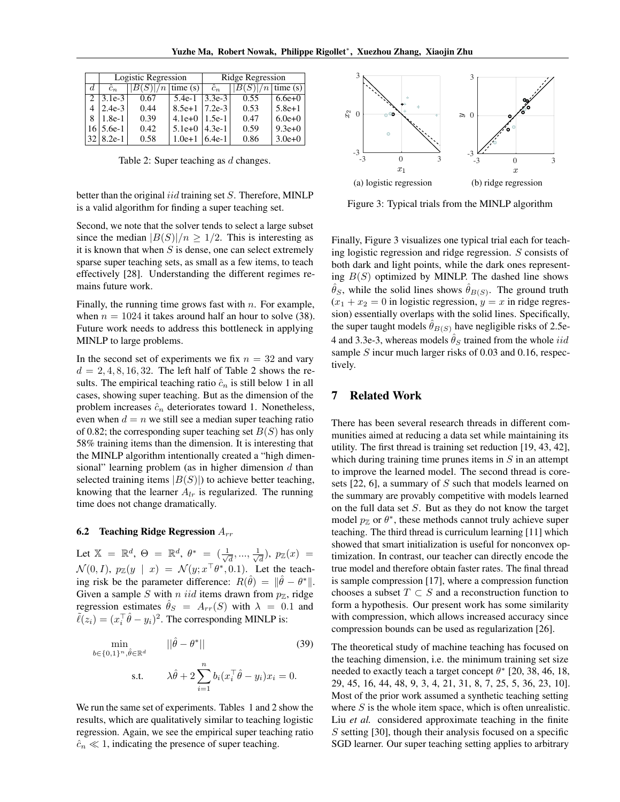<span id="page-6-0"></span>

|    |                  | Logistic Regression |          | Ridge Regression |                     |          |
|----|------------------|---------------------|----------|------------------|---------------------|----------|
| d. | $\hat{c}_n$      | $ B(S) /n$ time (s) |          | $\hat{c}_n$      | $ B(S) /n$ time (s) |          |
|    | $2  3.1e-3 $     | 0.67                | $5.4e-1$ | $3.3e-3$         | 0.55                | $6.6e+0$ |
|    | $2.4e-3$         | 0.44                | $8.5e+1$ | $7.2e-3$         | 0.53                | $5.8e+1$ |
| 8  | $1.8e-1$         | 0.39                | $4.1e+0$ | $1.5e-1$         | 0.47                | $6.0e+0$ |
|    | $16 \mid 5.6e-1$ | 0.42                | $5.1e+0$ | $4.3e-1$         | 0.59                | $9.3e+0$ |
|    | $32   8.2e-1$    | 0.58                | $1.0e+1$ | $6.4e-1$         | 0.86                | $3.0e+0$ |

Table 2: Super teaching as *d* changes.

better than the original *iid* training set *S*. Therefore, MINLP is a valid algorithm for finding a super teaching set.

Second, we note that the solver tends to select a large subset since the median  $|B(S)|/n \geq 1/2$ . This is interesting as it is known that when *S* is dense, one can select extremely sparse super teaching sets, as small as a few items, to teach effectively [\[28\]](#page-8-3). Understanding the different regimes remains future work.

Finally, the running time grows fast with *n*. For example, when  $n = 1024$  it takes around half an hour to solve [\(38\)](#page-5-5). Future work needs to address this bottleneck in applying MINLP to large problems.

In the second set of experiments we fix *n* = 32 and vary  $d = 2, 4, 8, 16, 32$  $d = 2, 4, 8, 16, 32$  $d = 2, 4, 8, 16, 32$ . The left half of Table 2 shows the results. The empirical teaching ratio  $\hat{c}_n$  is still below 1 in all cases, showing super teaching. But as the dimension of the problem increases  $\hat{c}_n$  deteriorates toward 1. Nonetheless, even when  $d = n$  we still see a median super teaching ratio of 0.82; the corresponding super teaching set *B*(*S*) has only 58% training items than the dimension. It is interesting that the MINLP algorithm intentionally created a "high dimensional" learning problem (as in higher dimension *d* than selected training items  $|B(S)|$ ) to achieve better teaching, knowing that the learner  $A_{lr}$  is regularized. The running time does not change dramatically.

#### 6.2 Teaching Ridge Regression *Arr*

Let  $X = \mathbb{R}^d$ ,  $\Theta = \mathbb{R}^d$ ,  $\theta^* = (\frac{1}{\sqrt{d}}, ..., \frac{1}{\sqrt{d}})$ ,  $p_{\mathbb{Z}}(x) =$  $\mathcal{N}(0, I), p_{\mathbb{Z}}(y \mid x) = \mathcal{N}(y; x^{\top} \theta^*, 0.1).$  Let the teaching risk be the parameter difference:  $R(\hat{\theta}) = ||\hat{\theta} - \theta^*||$ . Given a sample *S* with *n* iid items drawn from  $p_{\mathbb{Z}}$ , ridge regression estimates  $\hat{\theta}_S = A_{rr}(S)$  with  $\lambda = 0.1$  and  $ilde{\ell}(z_i)=(x_i^{\top}\hat{\theta}-y_i)^2$ . The corresponding MINLP is:

$$
\min_{b \in \{0,1\}^n, \hat{\theta} \in \mathbb{R}^d} \qquad ||\hat{\theta} - \theta^*|| \tag{39}
$$
\n
$$
\text{s.t.} \qquad \lambda \hat{\theta} + 2 \sum_{i=1}^n b_i (x_i^\top \hat{\theta} - y_i) x_i = 0.
$$

We run the same set of experiments. Tables [1](#page-5-6) and [2](#page-6-0) show the results, which are qualitatively similar to teaching logistic regression. Again, we see the empirical super teaching ratio  $\hat{c}_n \ll 1$ , indicating the presence of super teaching.

<span id="page-6-1"></span>

Figure 3: Typical trials from the MINLP algorithm

Finally, Figure [3](#page-6-1) visualizes one typical trial each for teaching logistic regression and ridge regression. *S* consists of both dark and light points, while the dark ones representing *B*(*S*) optimized by MINLP. The dashed line shows  $\hat{\theta}_S$ , while the solid lines shows  $\hat{\theta}_{B(S)}$ . The ground truth  $(x_1 + x_2 = 0$  in logistic regression,  $y = x$  in ridge regression) essentially overlaps with the solid lines. Specifically, the super taught models  $\hat{\theta}_{B(S)}$  have negligible risks of 2.5e-4 and 3.3e-3, whereas models  $\hat{\theta}_S$  trained from the whole *iid* sample *S* incur much larger risks of 0.03 and 0.16, respectively.

## 7 Related Work

There has been several research threads in different communities aimed at reducing a data set while maintaining its utility. The first thread is training set reduction [\[19,](#page-8-0) [43,](#page-9-0) [42\]](#page-9-1), which during training time prunes items in *S* in an attempt to improve the learned model. The second thread is coresets [\[22,](#page-8-4) [6\]](#page-8-5), a summary of *S* such that models learned on the summary are provably competitive with models learned on the full data set *S*. But as they do not know the target model  $p_Z$  or  $\theta^*$ , these methods cannot truly achieve super teaching. The third thread is curriculum learning [\[11\]](#page-8-6) which showed that smart initialization is useful for nonconvex optimization. In contrast, our teacher can directly encode the true model and therefore obtain faster rates. The final thread is sample compression [\[17\]](#page-8-7), where a compression function chooses a subset  $T \subset S$  and a reconstruction function to form a hypothesis. Our present work has some similarity with compression, which allows increased accuracy since compression bounds can be used as regularization [\[26\]](#page-8-8).

The theoretical study of machine teaching has focused on the teaching dimension, i.e. the minimum training set size needed to exactly teach a target concept  $\theta^*$  [\[20,](#page-8-1) [38,](#page-9-5) [46,](#page-9-6) [18,](#page-8-9) [29,](#page-8-10) [45,](#page-9-3) [16,](#page-8-11) [44,](#page-9-7) [48,](#page-9-8) [9,](#page-8-12) [3,](#page-7-0) [4,](#page-7-1) [21,](#page-8-13) [31,](#page-8-14) [8,](#page-8-15) [7,](#page-8-16) [25,](#page-8-17) [5,](#page-7-2) [36,](#page-9-9) [23,](#page-8-18) [10\]](#page-8-19). Most of the prior work assumed a synthetic teaching setting where *S* is the whole item space, which is often unrealistic. Liu *et al.* considered approximate teaching in the finite *S* setting [\[30\]](#page-8-20), though their analysis focused on a specific SGD learner. Our super teaching setting applies to arbitrary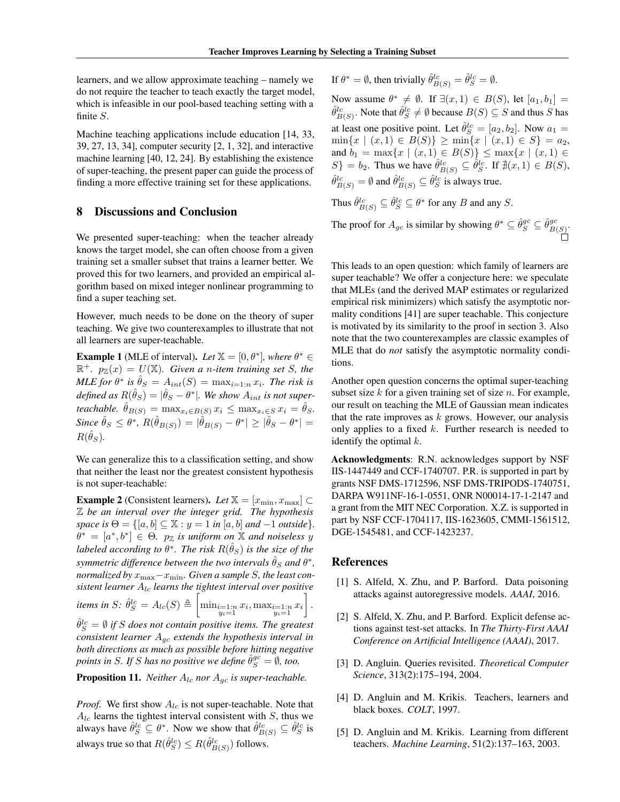learners, and we allow approximate teaching – namely we do not require the teacher to teach exactly the target model, which is infeasible in our pool-based teaching setting with a finite *S*.

Machine teaching applications include education [\[14,](#page-8-21) [33,](#page-8-22) [39,](#page-9-10) [27,](#page-8-23) [13,](#page-8-24) [34\]](#page-9-11), computer security [\[2,](#page-7-3) [1,](#page-7-4) [32\]](#page-8-25), and interactive machine learning [\[40,](#page-9-12) [12,](#page-8-26) [24\]](#page-8-27). By establishing the existence of super-teaching, the present paper can guide the process of finding a more effective training set for these applications.

### 8 Discussions and Conclusion

We presented super-teaching: when the teacher already knows the target model, she can often choose from a given training set a smaller subset that trains a learner better. We proved this for two learners, and provided an empirical algorithm based on mixed integer nonlinear programming to find a super teaching set.

However, much needs to be done on the theory of super teaching. We give two counterexamples to illustrate that not all learners are super-teachable.

**Example 1** (MLE of interval). *Let*  $X = [0, \theta^*]$ *, where*  $\theta^* \in$  $\mathbb{R}^+$ *.*  $p_{\mathbb{Z}}(x) = U(\mathbb{X})$ *. Given a n-item training set S, the MLE for*  $\theta^*$  *is*  $\hat{\theta}_S = A_{int}(S) = \max_{i=1:n} x_i$ *. The risk is*  $\partial^2 f \cdot d\theta = \frac{d^2 f}{d^2} \cdot d\theta = \frac{d^2 f}{d^2} \cdot d\theta$ . We show  $A_{int}$  is not super*teachable.*  $\hat{\theta}_{B(S)} = \max_{x_i \in B(S)} x_i \leq \max_{x_i \in S} x_i = \hat{\theta}_S$ .  $Since \ \hat{\theta}_S \leq \theta^*, R(\hat{\theta}_{B(S)}) = |\hat{\theta}_{B(S)} - \theta^*| \geq |\hat{\theta}_S - \theta^*| =$  $R(\hat{\theta}_S)$ .

We can generalize this to a classification setting, and show that neither the least nor the greatest consistent hypothesis is not super-teachable:

**Example 2** (Consistent learners). Let  $\mathbb{X} = [x_{\min}, x_{\max}] \subset$ Z *be an interval over the integer grid. The hypothesis space is*  $\Theta = \{ [a, b] \subseteq \mathbb{X} : y = 1 \text{ in } [a, b] \text{ and } -1 \text{ outside } \}.$  $\theta^* = [a^*, b^*] \in \Theta$ .  $p_{\mathbb{Z}}$  *is uniform on* X *and noiseless y labeled according to*  $\theta^*$ *. The risk*  $R(\hat{\theta}_S)$  *is the size of the symmetric difference between the two intervals*  $\hat{\theta}_S$  *and*  $\theta^*$ *, normalized by*  $x_{\text{max}} - x_{\text{min}}$ *. Given a sample S, the least consistent learner Alc learns the tightest interval over positive*

 $\hat{\theta}_{S}^{lc} = A_{lc}(S) \triangleq$  $\sqrt{ }$  $\min_{\substack{i=1:n \ y_i=1}} x_i, \max_{\substack{i=1:n \ y_i=1}} x_i$ 1 *.*

 $\hat{\theta}_{S}^{lc} = \emptyset$  if *S* does not contain positive items. The greatest *consistent learner Agc extends the hypothesis interval in both directions as much as possible before hitting negative points in S. If S has no positive we define*  $\hat{\theta}_{S}^{gc} = \emptyset$ *, too.* 

**Proposition 11.** *Neither*  $A_{lc}$  *nor*  $A_{qc}$  *is super-teachable.* 

*Proof.* We first show  $A_{lc}$  is not super-teachable. Note that  $A_{lc}$  learns the tightest interval consistent with *S*, thus we always have  $\hat{\theta}_S^{lc} \subseteq \theta^*$ . Now we show that  $\hat{\theta}_{B(S)}^{lc} \subseteq \hat{\theta}_S^{lc}$  is always true so that  $R(\hat{\theta}_{S}^{lc}) \le R(\hat{\theta}_{B(S)}^{lc})$  follows.

If  $\theta^* = \emptyset$ , then trivially  $\hat{\theta}_{B(S)}^{lc} = \hat{\theta}_{S}^{lc} = \emptyset$ .

Now assume  $\theta^* \neq \emptyset$ . If  $\exists (x,1) \in B(S)$ , let  $[a_1, b_1] =$  $\hat{\theta}_{B(S)}^{lc}$ . Note that  $\hat{\theta}_{S}^{lc} \neq \emptyset$  because  $B(S) \subseteq S$  and thus *S* has at least one positive point. Let  $\hat{\theta}_{S}^{lc} = [a_2, b_2]$ . Now  $a_1 =$  $\min\{x \mid (x,1) \in B(S)\} \geq \min\{x \mid (x,1) \in S\} = a_2,$ and  $b_1 = \max\{x \mid (x, 1) \in B(S)\} \le \max\{x \mid (x, 1) \in B(S)\}$  $S$ <sup>}</sup> = *b*<sub>2</sub>. Thus we have  $\hat{\theta}_{B(S)}^{lc} \subseteq \hat{\theta}_{S}^{lc}$ . If  $\sharp(x,1) \in B(S)$ ,  $\hat{\theta}_{B(S)}^{lc} = \emptyset$  and  $\hat{\theta}_{B(S)}^{lc} \subseteq \hat{\theta}_{S}^{lc}$  is always true.

Thus  $\hat{\theta}_{B(S)}^{lc} \subseteq \hat{\theta}_{S}^{lc} \subseteq \theta^*$  for any *B* and any *S*.

The proof for  $A_{gc}$  is similar by showing  $\theta^* \subseteq \hat{\theta}_{S}^{gc} \subseteq \hat{\theta}_{B(S)}^{gc}$ .

This leads to an open question: which family of learners are super teachable? We offer a conjecture here: we speculate that MLEs (and the derived MAP estimates or regularized empirical risk minimizers) which satisfy the asymptotic normality conditions [\[41\]](#page-9-13) are super teachable. This conjecture is motivated by its similarity to the proof in section [3.](#page-1-0) Also note that the two counterexamples are classic examples of MLE that do *not* satisfy the asymptotic normality conditions.

Another open question concerns the optimal super-teaching subset size *k* for a given training set of size *n*. For example, our result on teaching the MLE of Gaussian mean indicates that the rate improves as *k* grows. However, our analysis only applies to a fixed *k*. Further research is needed to identify the optimal *k*.

Acknowledgments: R.N. acknowledges support by NSF IIS-1447449 and CCF-1740707. P.R. is supported in part by grants NSF DMS-1712596, NSF DMS-TRIPODS-1740751, DARPA W911NF-16-1-0551, ONR N00014-17-1-2147 and a grant from the MIT NEC Corporation. X.Z. is supported in part by NSF CCF-1704117, IIS-1623605, CMMI-1561512, DGE-1545481, and CCF-1423237.

#### References

- <span id="page-7-4"></span>[1] S. Alfeld, X. Zhu, and P. Barford. Data poisoning attacks against autoregressive models. *AAAI*, 2016.
- <span id="page-7-3"></span>[2] S. Alfeld, X. Zhu, and P. Barford. Explicit defense actions against test-set attacks. In *The Thirty-First AAAI Conference on Artificial Intelligence (AAAI)*, 2017.
- <span id="page-7-0"></span>[3] D. Angluin. Queries revisited. *Theoretical Computer Science*, 313(2):175–194, 2004.
- <span id="page-7-1"></span>[4] D. Angluin and M. Krikis. Teachers, learners and black boxes. *COLT*, 1997.
- <span id="page-7-2"></span>[5] D. Angluin and M. Krikis. Learning from different teachers. *Machine Learning*, 51(2):137–163, 2003.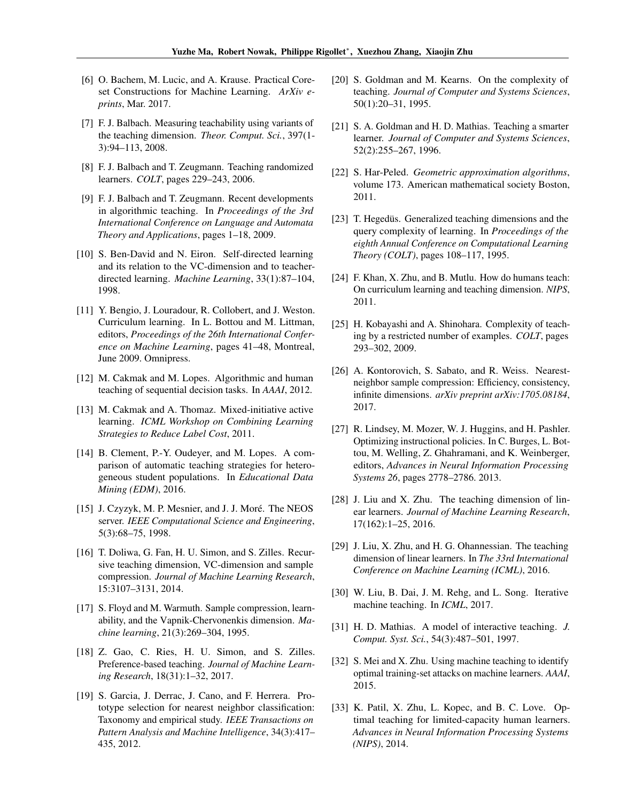- <span id="page-8-5"></span>[6] O. Bachem, M. Lucic, and A. Krause. Practical Coreset Constructions for Machine Learning. *ArXiv eprints*, Mar. 2017.
- <span id="page-8-16"></span>[7] F. J. Balbach. Measuring teachability using variants of the teaching dimension. *Theor. Comput. Sci.*, 397(1- 3):94–113, 2008.
- <span id="page-8-15"></span>[8] F. J. Balbach and T. Zeugmann. Teaching randomized learners. *COLT*, pages 229–243, 2006.
- <span id="page-8-12"></span>[9] F. J. Balbach and T. Zeugmann. Recent developments in algorithmic teaching. In *Proceedings of the 3rd International Conference on Language and Automata Theory and Applications*, pages 1–18, 2009.
- <span id="page-8-19"></span>[10] S. Ben-David and N. Eiron. Self-directed learning and its relation to the VC-dimension and to teacherdirected learning. *Machine Learning*, 33(1):87–104, 1998.
- <span id="page-8-6"></span>[11] Y. Bengio, J. Louradour, R. Collobert, and J. Weston. Curriculum learning. In L. Bottou and M. Littman, editors, *Proceedings of the 26th International Conference on Machine Learning*, pages 41–48, Montreal, June 2009. Omnipress.
- <span id="page-8-26"></span>[12] M. Cakmak and M. Lopes. Algorithmic and human teaching of sequential decision tasks. In *AAAI*, 2012.
- <span id="page-8-24"></span>[13] M. Cakmak and A. Thomaz. Mixed-initiative active learning. *ICML Workshop on Combining Learning Strategies to Reduce Label Cost*, 2011.
- <span id="page-8-21"></span>[14] B. Clement, P.-Y. Oudeyer, and M. Lopes. A comparison of automatic teaching strategies for heterogeneous student populations. In *Educational Data Mining (EDM)*, 2016.
- <span id="page-8-2"></span>[15] J. Czyzyk, M. P. Mesnier, and J. J. Moré. The NEOS server. *IEEE Computational Science and Engineering*, 5(3):68–75, 1998.
- <span id="page-8-11"></span>[16] T. Doliwa, G. Fan, H. U. Simon, and S. Zilles. Recursive teaching dimension, VC-dimension and sample compression. *Journal of Machine Learning Research*, 15:3107–3131, 2014.
- <span id="page-8-7"></span>[17] S. Floyd and M. Warmuth. Sample compression, learnability, and the Vapnik-Chervonenkis dimension. *Machine learning*, 21(3):269–304, 1995.
- <span id="page-8-9"></span>[18] Z. Gao, C. Ries, H. U. Simon, and S. Zilles. Preference-based teaching. *Journal of Machine Learning Research*, 18(31):1–32, 2017.
- <span id="page-8-0"></span>[19] S. Garcia, J. Derrac, J. Cano, and F. Herrera. Prototype selection for nearest neighbor classification: Taxonomy and empirical study. *IEEE Transactions on Pattern Analysis and Machine Intelligence*, 34(3):417– 435, 2012.
- <span id="page-8-1"></span>[20] S. Goldman and M. Kearns. On the complexity of teaching. *Journal of Computer and Systems Sciences*, 50(1):20–31, 1995.
- <span id="page-8-13"></span>[21] S. A. Goldman and H. D. Mathias. Teaching a smarter learner. *Journal of Computer and Systems Sciences*, 52(2):255–267, 1996.
- <span id="page-8-4"></span>[22] S. Har-Peled. *Geometric approximation algorithms*, volume 173. American mathematical society Boston, 2011.
- <span id="page-8-18"></span>[23] T. Hegedüs. Generalized teaching dimensions and the query complexity of learning. In *Proceedings of the eighth Annual Conference on Computational Learning Theory (COLT)*, pages 108–117, 1995.
- <span id="page-8-27"></span>[24] F. Khan, X. Zhu, and B. Mutlu. How do humans teach: On curriculum learning and teaching dimension. *NIPS*, 2011.
- <span id="page-8-17"></span>[25] H. Kobayashi and A. Shinohara. Complexity of teaching by a restricted number of examples. *COLT*, pages 293–302, 2009.
- <span id="page-8-8"></span>[26] A. Kontorovich, S. Sabato, and R. Weiss. Nearestneighbor sample compression: Efficiency, consistency, infinite dimensions. *arXiv preprint arXiv:1705.08184*, 2017.
- <span id="page-8-23"></span>[27] R. Lindsey, M. Mozer, W. J. Huggins, and H. Pashler. Optimizing instructional policies. In C. Burges, L. Bottou, M. Welling, Z. Ghahramani, and K. Weinberger, editors, *Advances in Neural Information Processing Systems 26*, pages 2778–2786. 2013.
- <span id="page-8-3"></span>[28] J. Liu and X. Zhu. The teaching dimension of linear learners. *Journal of Machine Learning Research*, 17(162):1–25, 2016.
- <span id="page-8-10"></span>[29] J. Liu, X. Zhu, and H. G. Ohannessian. The teaching dimension of linear learners. In *The 33rd International Conference on Machine Learning (ICML)*, 2016.
- <span id="page-8-20"></span>[30] W. Liu, B. Dai, J. M. Rehg, and L. Song. Iterative machine teaching. In *ICML*, 2017.
- <span id="page-8-14"></span>[31] H. D. Mathias. A model of interactive teaching. *J. Comput. Syst. Sci.*, 54(3):487–501, 1997.
- <span id="page-8-25"></span>[32] S. Mei and X. Zhu. Using machine teaching to identify optimal training-set attacks on machine learners. *AAAI*, 2015.
- <span id="page-8-22"></span>[33] K. Patil, X. Zhu, L. Kopec, and B. C. Love. Optimal teaching for limited-capacity human learners. *Advances in Neural Information Processing Systems (NIPS)*, 2014.